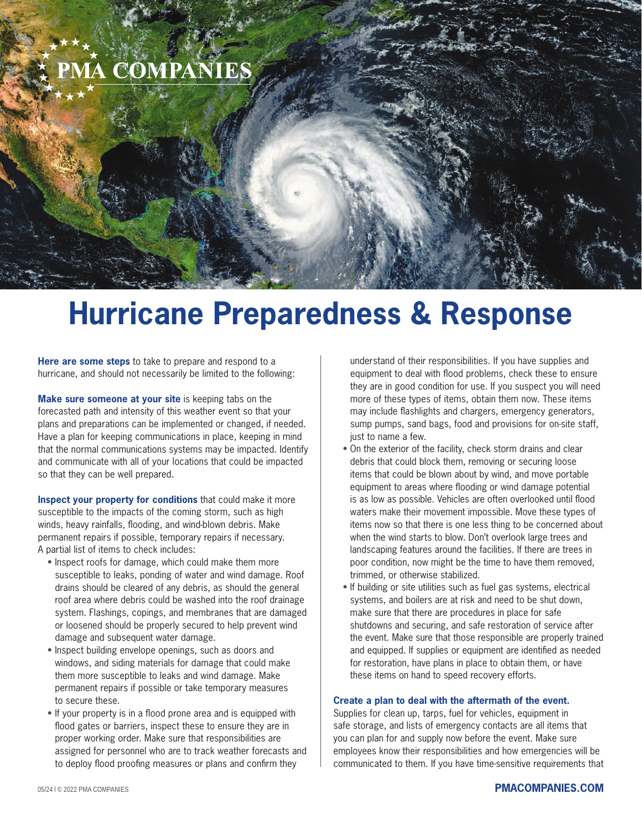# **A COMPANIES**

## **Hurricane Preparedness & Response**

**Here are some steps** to take to prepare and respond to a hurricane, and should not necessarily be limited to the following:

**Make sure someone at your site** is keeping tabs on the forecasted path and intensity of this weather event so that your plans and preparations can be implemented or changed, if needed. Have a plan for keeping communications in place, keeping in mind that the normal communications systems may be impacted. Identify and communicate with all of your locations that could be impacted so that they can be well prepared.

**Inspect your property for conditions** that could make it more susceptible to the impacts of the coming storm, such as high winds, heavy rainfalls, flooding, and wind-blown debris. Make permanent repairs if possible, temporary repairs if necessary. A partial list of items to check includes:

- Inspect roofs for damage, which could make them more susceptible to leaks, ponding of water and wind damage. Roof drains should be cleared of any debris, as should the general roof area where debris could be washed into the roof drainage system. Flashings, copings, and membranes that are damaged or loosened should be properly secured to help prevent wind damage and subsequent water damage.
- Inspect building envelope openings, such as doors and windows, and siding materials for damage that could make them more susceptible to leaks and wind damage. Make permanent repairs if possible or take temporary measures to secure these.
- If your property is in a flood prone area and is equipped with flood gates or barriers, inspect these to ensure they are in proper working order. Make sure that responsibilities are assigned for personnel who are to track weather forecasts and to deploy flood proofing measures or plans and confirm they

understand of their responsibilities. If you have supplies and equipment to deal with flood problems, check these to ensure they are in good condition for use. If you suspect you will need more of these types of items, obtain them now. These items may include flashlights and chargers, emergency generators, sump pumps, sand bags, food and provisions for on-site staff, just to name a few.

- On the exterior of the facility, check storm drains and clear debris that could block them, removing or securing loose items that could be blown about by wind, and move portable equipment to areas where flooding or wind damage potential is as low as possible. Vehicles are often overlooked until flood waters make their movement impossible. Move these types of items now so that there is one less thing to be concerned about when the wind starts to blow. Don't overlook large trees and landscaping features around the facilities. If there are trees in poor condition, now might be the time to have them removed, trimmed, or otherwise stabilized.
- If building or site utilities such as fuel gas systems, electrical systems, and boilers are at risk and need to be shut down, make sure that there are procedures in place for safe shutdowns and securing, and safe restoration of service after the event. Make sure that those responsible are properly trained and equipped. If supplies or equipment are identified as needed for restoration, have plans in place to obtain them, or have these items on hand to speed recovery efforts.

#### **Create a plan to deal with the aftermath of the event.**

Supplies for clean up, tarps, fuel for vehicles, equipment in safe storage, and lists of emergency contacts are all items that you can plan for and supply now before the event. Make sure employees know their responsibilities and how emergencies will be communicated to them. If you have time-sensitive requirements that